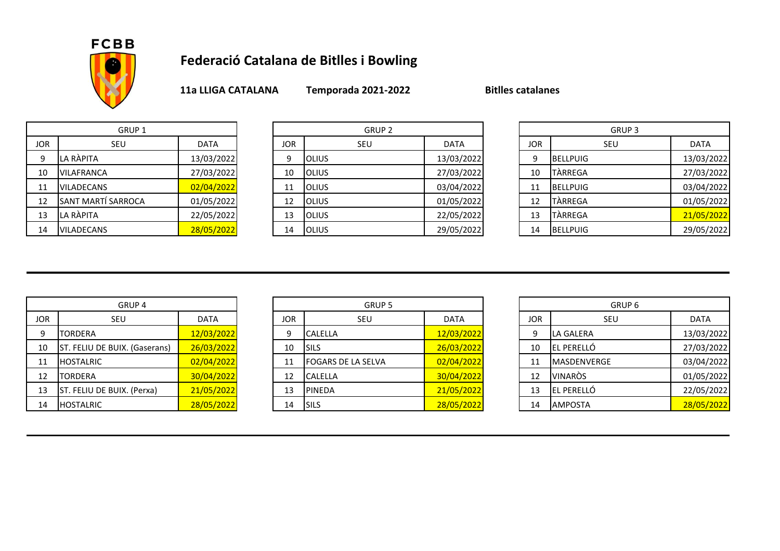

## **Federació Catalana de Bitlles i Bowling**

**11a LLIGA CATALANA Temporada 2021-2022 Bitlles catalanes**

|            | GRUP 1                    |             |  |  |  |  |  |
|------------|---------------------------|-------------|--|--|--|--|--|
| <b>JOR</b> | SEU                       | <b>DATA</b> |  |  |  |  |  |
| 9          | LA RÀPITA                 | 13/03/2022  |  |  |  |  |  |
| 10         | <b>VILAFRANCA</b>         | 27/03/2022  |  |  |  |  |  |
| 11         | <b>VILADECANS</b>         | 02/04/2022  |  |  |  |  |  |
| 12         | <b>SANT MARTÍ SARROCA</b> | 01/05/2022  |  |  |  |  |  |
| 13         | LA RÀPITA                 | 22/05/2022  |  |  |  |  |  |
| 14         | VILADECANS                | 28/05/2022  |  |  |  |  |  |

| GRUP <sub>1</sub> |                            |             | GRUP 2     |                |             | GRUP <sub>3</sub> |                 |             |
|-------------------|----------------------------|-------------|------------|----------------|-------------|-------------------|-----------------|-------------|
| JOR.              | SEU                        | <b>DATA</b> | <b>JOR</b> | SEU            | <b>DATA</b> | <b>JOR</b>        | SEU             | <b>DATA</b> |
| 9                 | LA RÀPITA                  | 13/03/2022  | q          | <b>I</b> OLIUS | 13/03/2022  | Ω                 | <b>BELLPUIG</b> | 13/03/2022  |
| 10                | <b>IVILAFRANCA</b>         | 27/03/2022  | 10         | <b>I</b> OLIUS | 27/03/2022  | 10                | TÀRREGA         | 27/03/2022  |
| 11                | <b>VILADECANS</b>          | 02/04/2022  | 11         | <b>I</b> OLIUS | 03/04/2022  | 11                | <b>BELLPUIG</b> | 03/04/2022  |
| 12                | <b>ISANT MARTÍ SARROCA</b> | 01/05/2022  | 12         | <b>I</b> OLIUS | 01/05/2022  | 12                | TÀRREGA         | 01/05/2022  |
| 13                | LA RÀPITA                  | 22/05/2022  | 13         | <b>I</b> OLIUS | 22/05/2022  | 13                | TARREGA         | 21/05/2022  |
| 14                | <b>VILADECANS</b>          | 28/05/2022  | 14         | <b>OLIUS</b>   | 29/05/2022  | 14                | <b>BELLPUIG</b> | 29/05/2022  |

|            | GRUP <sub>3</sub> |             |  |  |  |  |
|------------|-------------------|-------------|--|--|--|--|
| <b>JOR</b> | SEU               | <b>DATA</b> |  |  |  |  |
| 9          | <b>BELLPUIG</b>   | 13/03/2022  |  |  |  |  |
| 10         | <b>TÀRREGA</b>    | 27/03/2022  |  |  |  |  |
| 11         | <b>BELLPUIG</b>   | 03/04/2022  |  |  |  |  |
| 12         | <b>TÀRREGA</b>    | 01/05/2022  |  |  |  |  |
| 13         | <b>TÀRREGA</b>    | 21/05/2022  |  |  |  |  |
| 14         | <b>BELLPUIG</b>   | 29/05/2022  |  |  |  |  |

|            | GRUP <sub>4</sub>             |             |  |  |  |  |  |
|------------|-------------------------------|-------------|--|--|--|--|--|
| <b>JOR</b> | SEU                           | <b>DATA</b> |  |  |  |  |  |
| 9          | <b>TORDERA</b>                | 12/03/2022  |  |  |  |  |  |
| 10         | ST. FELIU DE BUIX. (Gaserans) | 26/03/2022  |  |  |  |  |  |
| 11         | <b>HOSTALRIC</b>              | 02/04/2022  |  |  |  |  |  |
| 12         | <b>TORDERA</b>                | 30/04/2022  |  |  |  |  |  |
| 13         | ST. FELIU DE BUIX. (Perxa)    | 21/05/2022  |  |  |  |  |  |
| 14         | <b>HOSTALRIC</b>              | 28/05/2022  |  |  |  |  |  |

| GRUP <sub>4</sub> |                                      |             | GRUP 5     |                            |             | GRUP 6     |                     |             |
|-------------------|--------------------------------------|-------------|------------|----------------------------|-------------|------------|---------------------|-------------|
| <b>JOR</b>        | SEU                                  | <b>DATA</b> | <b>JOR</b> | <b>SEU</b>                 | <b>DATA</b> | <b>JOR</b> | SEU                 | <b>DATA</b> |
| 9                 | TORDERA                              | 12/03/2022  | 9          | <b>CALELLA</b>             | 12/03/2022  |            | LA GALERA           | 13/03/2022  |
| 10                | <b>ST. FELIU DE BUIX. (Gaserans)</b> | 26/03/2022  | 10         | <b>ISILS</b>               | 26/03/2022  | 10         | <b>IEL PERELLÓ</b>  | 27/03/2022  |
| 11                | <b>HOSTALRIC</b>                     | 02/04/2022  | 11         | <b>IFOGARS DE LA SELVA</b> | 02/04/2022  |            | <b>IMASDENVERGE</b> | 03/04/2022  |
| 12                | TORDERA                              | 30/04/2022  | 12         | <b>CALELLA</b>             | 30/04/2022  | 12         | <b>VINARÒS</b>      | 01/05/2022  |
| 13                | ST. FELIU DE BUIX. (Perxa)           | 21/05/2022  | 13         | <b>PINEDA</b>              | 21/05/2022  | 13         | EL PERELLÓ          | 22/05/2022  |
| 14                | <b>HOSTALRIC</b>                     | 28/05/2022  | 14         | <b>ISILS</b>               | 28/05/2022  | 14         | <b>AMPOSTA</b>      | 28/05/2022  |

|            | GRUP <sub>6</sub>  |             |  |  |  |  |
|------------|--------------------|-------------|--|--|--|--|
| <b>JOR</b> | SEU                | <b>DATA</b> |  |  |  |  |
| 9          | LA GALERA          | 13/03/2022  |  |  |  |  |
| 10         | EL PERELLÓ         | 27/03/2022  |  |  |  |  |
| 11         | <b>MASDENVERGE</b> | 03/04/2022  |  |  |  |  |
| 12         | <b>VINARÒS</b>     | 01/05/2022  |  |  |  |  |
| 13         | EL PERELLÓ         | 22/05/2022  |  |  |  |  |
| 14         | <b>AMPOSTA</b>     | 28/05/2022  |  |  |  |  |